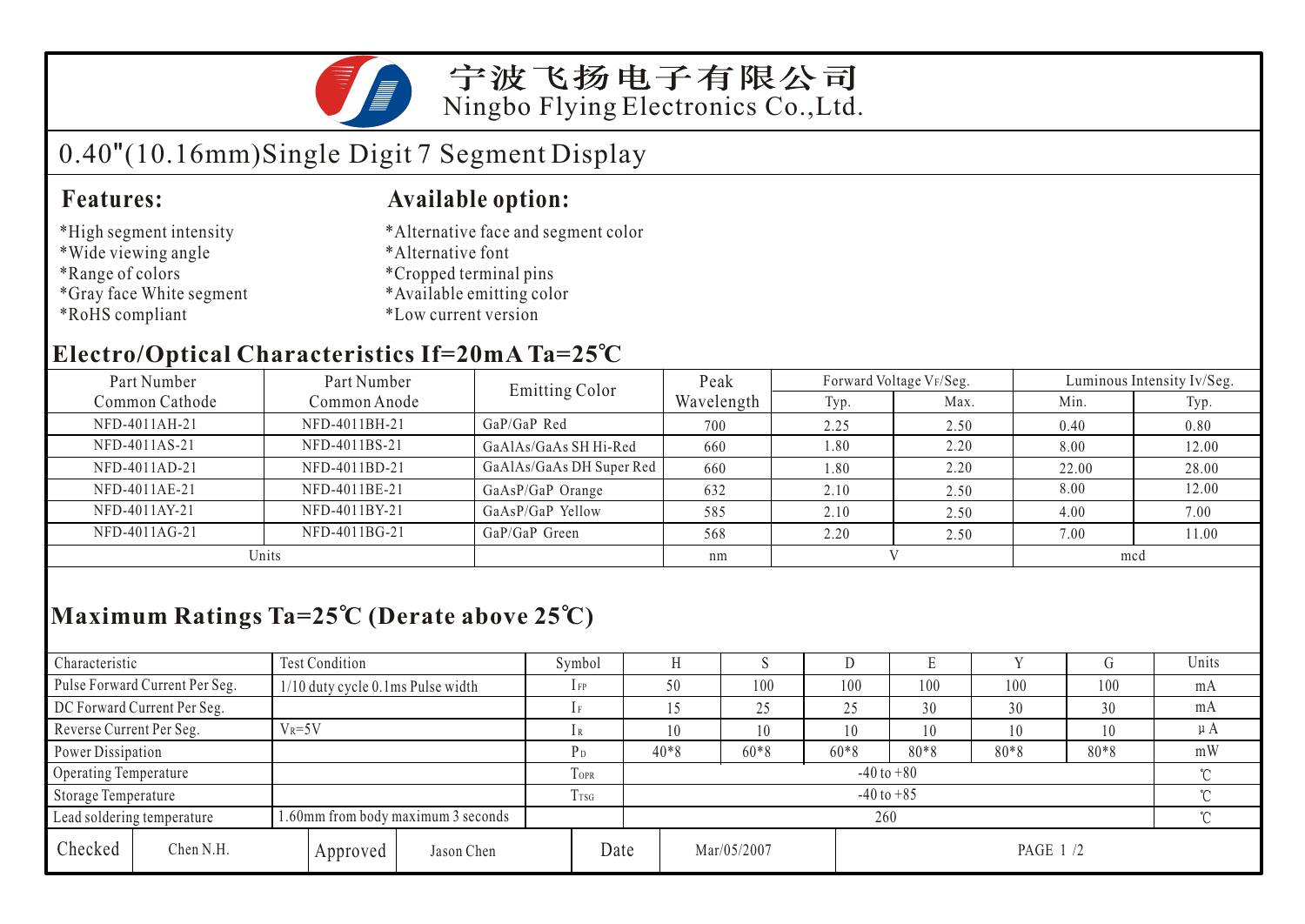

宁波飞扬电子有限公司 Ningbo Flying Electronics Co.,Ltd.

# 0.40"(10.16mm)Single Digit 7 Segment Display

#### **Features: Available option:**

- \*High segment intensity
- \*Wide viewing angle
- \*Range of colors
- \*Gray face White segment
- \*RoHS compliant
- \*Alternative face and segment color
- \*Alternative font
- \*Cropped terminal pins
- \*Available emitting color
- \*Low current version

### **Electro/Optical Characteristics If=20mA Ta=25 C**

| Part Number    | Part Number   | <b>Emitting Color</b>    | Peak       |      | Forward Voltage VF/Seg. | Luminous Intensity Iv/Seg. |       |  |
|----------------|---------------|--------------------------|------------|------|-------------------------|----------------------------|-------|--|
| Common Cathode | Common Anode  |                          | Wavelength | Typ. | Max.                    | Min.                       | Typ.  |  |
| NFD-4011AH-21  | NFD-4011BH-21 | GaP/GaP Red              | 700        | 2.25 | 2.50                    | 0.40                       | 0.80  |  |
| NFD-4011AS-21  | NFD-4011BS-21 | GaAlAs/GaAs SH Hi-Red    | 660        | 08.1 | 2.20                    | 8.00                       | 12.00 |  |
| NFD-4011AD-21  | NFD-4011BD-21 | GaAlAs/GaAs DH Super Red | 660        | 08.1 | 2.20                    | 22.00                      | 28.00 |  |
| NFD-4011AE-21  | NFD-4011BE-21 | GaAsP/GaP Orange         | 632        | 2.10 | 2.50                    | 8.00                       | 12.00 |  |
| NFD-4011AY-21  | NFD-4011BY-21 | GaAsP/GaP Yellow         | 585        | 2.10 | 2.50                    | 4.00                       | 7.00  |  |
| NFD-4011AG-21  | NFD-4011BG-21 | GaP/GaP Green            | 568        | 2.20 | 2.50                    | 7.00                       | 11.00 |  |
| Units          |               |                          | nm         |      |                         | mcd                        |       |  |

## **Maximum Ratings Ta=25 C (Derate above 25 C)**

| Characteristic              |                                        | Test Condition                    |            |                | Symbol                   |        |                         |        |        | E      |        |         | Units |
|-----------------------------|----------------------------------------|-----------------------------------|------------|----------------|--------------------------|--------|-------------------------|--------|--------|--------|--------|---------|-------|
|                             | Pulse Forward Current Per Seg.         | 1/10 duty cycle 0.1ms Pulse width |            |                | $1$ FP                   |        | 50                      | 100    | 100    | 100    | 100    | 100     | mA    |
| DC Forward Current Per Seg. |                                        |                                   |            | 1F             |                          |        | 25                      | 25     | 30     | 30     | 30     | mA      |       |
|                             | Reverse Current Per Seg.<br>$V_R = 5V$ |                                   |            | 1 R            |                          | 10     | 10                      | 10     | 10     | 10     | 10     | $\mu A$ |       |
|                             | Power Dissipation                      |                                   |            | P <sub>D</sub> |                          | $40*8$ | $60*8$                  | $60*8$ | $80*8$ | $80*8$ | $80*8$ | mW      |       |
| Operating Temperature       |                                        |                                   |            | <b>TOPR</b>    | $-40$ to $+80$<br>$\sim$ |        |                         |        |        |        |        |         |       |
| Storage Temperature         |                                        |                                   | Trsg       |                | $-40$ to $+85$<br>$\sim$ |        |                         |        |        |        |        |         |       |
| Lead soldering temperature  | 1.60mm from body maximum 3 seconds     |                                   |            |                |                          | 260    |                         |        |        |        |        |         |       |
| Checked                     | Chen N.H.                              | Approved                          | Jason Chen |                | Date                     |        | Mar/05/2007<br>PAGE 1/2 |        |        |        |        |         |       |